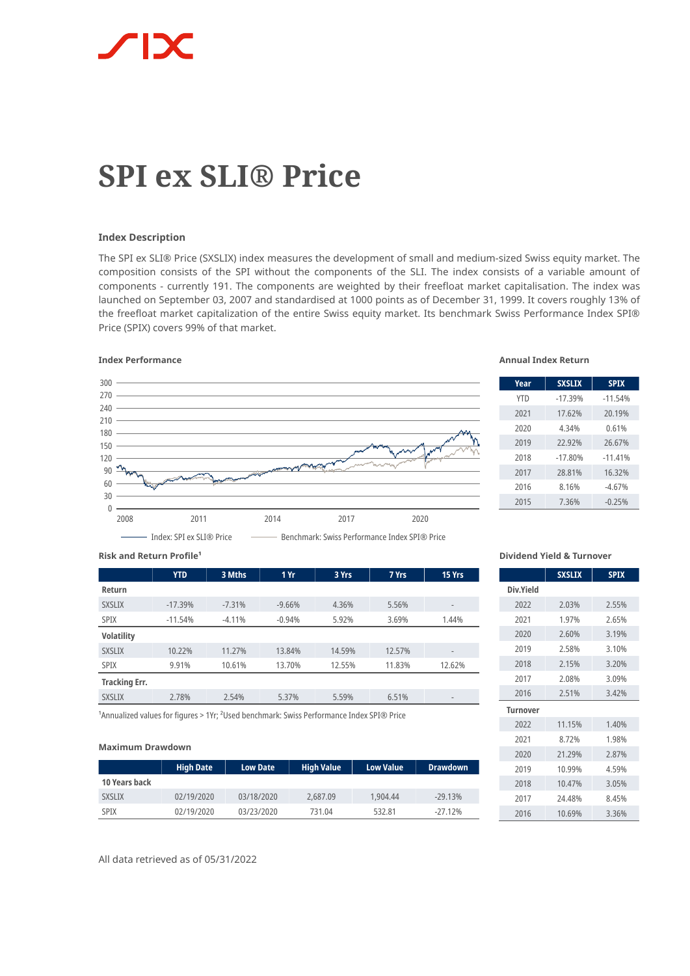

# **SPI ex SLI® Price**

# **Index Description**

The SPI ex SLI® Price (SXSLIX) index measures the development of small and medium-sized Swiss equity market. The composition consists of the SPI without the components of the SLI. The index consists of a variable amount of components - currently 191. The components are weighted by their freefloat market capitalisation. The index was launched on September 03, 2007 and standardised at 1000 points as of December 31, 1999. It covers roughly 13% of the freefloat market capitalization of the entire Swiss equity market. Its benchmark Swiss Performance Index SPI® Price (SPIX) covers 99% of that market.

# **Index Performance Annual Index Return**



| Year       | <b>SXSLIX</b> | <b>SPIX</b> |
|------------|---------------|-------------|
| <b>YTD</b> | $-17.39%$     | $-11.54%$   |
| 2021       | 17.62%        | 20.19%      |
| 2020       | 4.34%         | 0.61%       |
| 2019       | 22.92%        | 26.67%      |
| 2018       | $-17.80%$     | $-11.41%$   |
| 2017       | 28.81%        | 16.32%      |
| 2016       | 8.16%         | $-4.67%$    |
| 2015       | 7.36%         | $-0.25%$    |

#### **Risk and Return Profile<sup>1</sup>**

|                      | <b>YTD</b> | 3 Mths   | 1 Yr     | 3 Yrs  | 7 Yrs  | 15 Yrs                   |
|----------------------|------------|----------|----------|--------|--------|--------------------------|
| Return               |            |          |          |        |        |                          |
| <b>SXSLIX</b>        | $-17.39%$  | $-7.31%$ | $-9.66%$ | 4.36%  | 5.56%  | $\overline{\phantom{a}}$ |
| <b>SPIX</b>          | $-11.54%$  | $-4.11%$ | $-0.94%$ | 5.92%  | 3.69%  | 1.44%                    |
| <b>Volatility</b>    |            |          |          |        |        |                          |
| <b>SXSLIX</b>        | 10.22%     | 11.27%   | 13.84%   | 14.59% | 12.57% | $\overline{\phantom{a}}$ |
| <b>SPIX</b>          | 9.91%      | 10.61%   | 13.70%   | 12.55% | 11.83% | 12.62%                   |
| <b>Tracking Err.</b> |            |          |          |        |        |                          |
| <b>SXSLIX</b>        | 2.78%      | 2.54%    | 5.37%    | 5.59%  | 6.51%  | $\overline{\phantom{a}}$ |

<sup>1</sup> Annualized values for figures > 1Yr; <sup>2</sup> Used benchmark: Swiss Performance Index SPI® Price

#### **Maximum Drawdown**

|               | <b>High Date</b> | <b>Low Date</b> | <b>High Value</b> | <b>Low Value</b> | <b>Drawdown</b> |
|---------------|------------------|-----------------|-------------------|------------------|-----------------|
| 10 Years back |                  |                 |                   |                  |                 |
| <b>SXSLIX</b> | 02/19/2020       | 03/18/2020      | 2,687.09          | 1.904.44         | $-29.13%$       |
| <b>SPIX</b>   | 02/19/2020       | 03/23/2020      | 731.04            | 532.81           | $-27.12%$       |

**Dividend Yield & Turnover**

|                 | <b>SXSLIX</b> | <b>SPIX</b> |
|-----------------|---------------|-------------|
| Div.Yield       |               |             |
| 2022            | 2.03%         | 2,55%       |
| 2021            | 1.97%         | 2.65%       |
| 2020            | 2.60%         | 3.19%       |
| 2019            | 2.58%         | 3.10%       |
| 2018            | 2.15%         | 3.20%       |
| 2017            | 2.08%         | 3.09%       |
| 2016            | 2.51%         | 3.42%       |
| <b>Turnover</b> |               |             |
| 2022            | 11.15%        | 1.40%       |
| 2021            | 8.72%         | 1.98%       |
| 2020            | 21.29%        | 2.87%       |
| 2019            | 10.99%        | 4.59%       |
| 2018            | 10.47%        | 3.05%       |
| 2017            | 24.48%        | 8.45%       |
| 2016            | 10.69%        | 3.36%       |

All data retrieved as of 05/31/2022